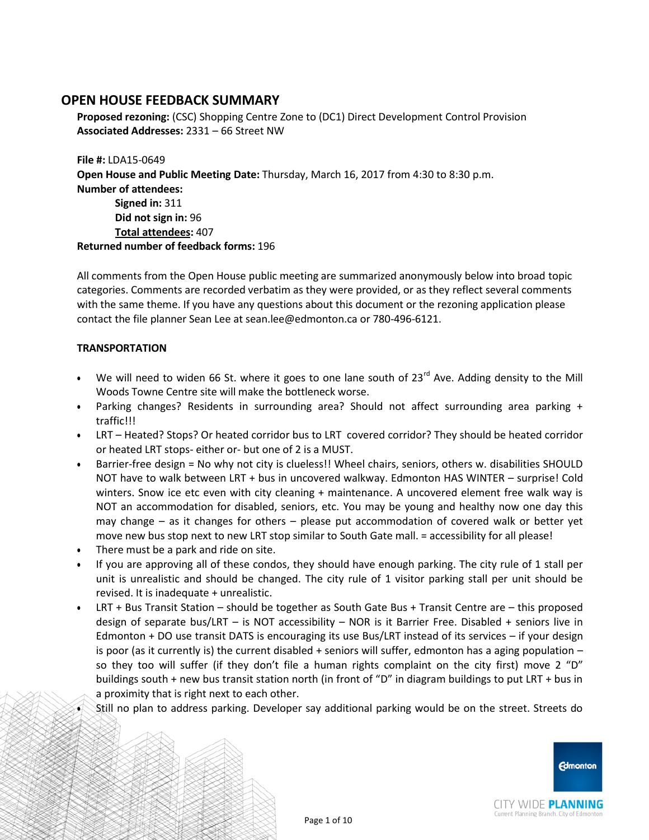**Proposed rezoning:** (CSC) Shopping Centre Zone to (DC1) Direct Development Control Provision **Associated Addresses:** 2331 – 66 Street NW

**File #:** LDA15-0649 **Open House and Public Meeting Date:** Thursday, March 16, 2017 from 4:30 to 8:30 p.m. **Number of attendees: Signed in:** 311 **Did not sign in:** 96 **Total attendees:** 407 **Returned number of feedback forms:** 196

All comments from the Open House public meeting are summarized anonymously below into broad topic categories. Comments are recorded verbatim as they were provided, or as they reflect several comments with the same theme. If you have any questions about this document or the rezoning application please contact the file planner Sean Lee at [sean.lee@edmonton.ca](mailto:sean.lee@edmonton.ca) or 780-496-6121.

### **TRANSPORTATION**

- We will need to widen 66 St. where it goes to one lane south of 23<sup>rd</sup> Ave. Adding density to the Mill Woods Towne Centre site will make the bottleneck worse.
- Parking changes? Residents in surrounding area? Should not affect surrounding area parking + traffic!!!
- LRT Heated? Stops? Or heated corridor bus to LRT covered corridor? They should be heated corridor or heated LRT stops- either or- but one of 2 is a MUST.
- Barrier-free design = No why not city is clueless!! Wheel chairs, seniors, others w. disabilities SHOULD NOT have to walk between LRT + bus in uncovered walkway. Edmonton HAS WINTER – surprise! Cold winters. Snow ice etc even with city cleaning + maintenance. A uncovered element free walk way is NOT an accommodation for disabled, seniors, etc. You may be young and healthy now one day this may change – as it changes for others – please put accommodation of covered walk or better yet move new bus stop next to new LRT stop similar to South Gate mall. = accessibility for all please!
- There must be a park and ride on site.
- If you are approving all of these condos, they should have enough parking. The city rule of 1 stall per unit is unrealistic and should be changed. The city rule of 1 visitor parking stall per unit should be revised. It is inadequate + unrealistic.
- LRT + Bus Transit Station should be together as South Gate Bus + Transit Centre are this proposed design of separate bus/LRT – is NOT accessibility – NOR is it Barrier Free. Disabled + seniors live in Edmonton + DO use transit DATS is encouraging its use Bus/LRT instead of its services – if your design is poor (as it currently is) the current disabled + seniors will suffer, edmonton has a aging population – so they too will suffer (if they don't file a human rights complaint on the city first) move 2 "D" buildings south + new bus transit station north (in front of "D" in diagram buildings to put LRT + bus in a proximity that is right next to each other.
- Still no plan to address parking. Developer say additional parking would be on the street. Streets do

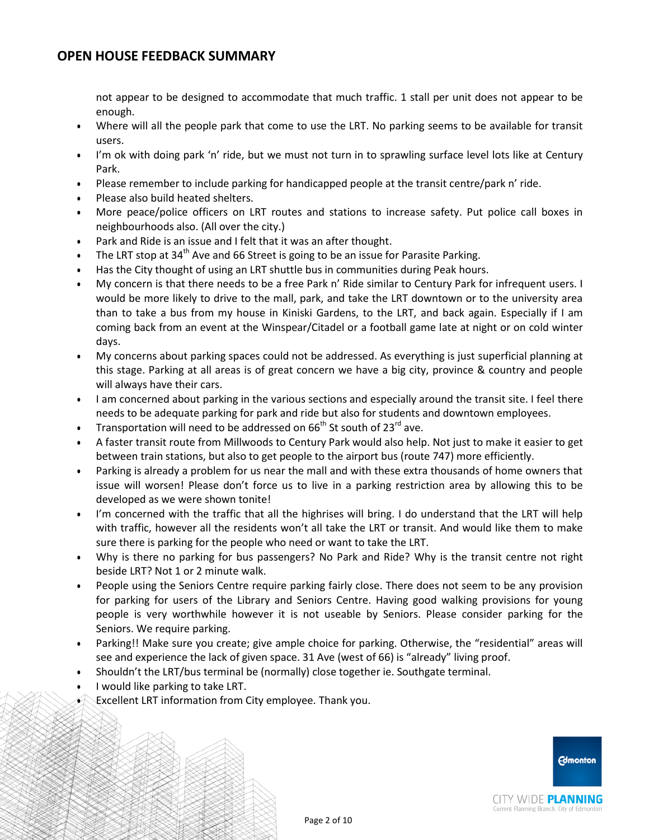not appear to be designed to accommodate that much traffic. 1 stall per unit does not appear to be enough.

- Where will all the people park that come to use the LRT. No parking seems to be available for transit users.
- I'm ok with doing park 'n' ride, but we must not turn in to sprawling surface level lots like at Century Park.
- Please remember to include parking for handicapped people at the transit centre/park n' ride.
- Please also build heated shelters.
- More peace/police officers on LRT routes and stations to increase safety. Put police call boxes in neighbourhoods also. (All over the city.)
- Park and Ride is an issue and I felt that it was an after thought.
- The LRT stop at 34<sup>th</sup> Ave and 66 Street is going to be an issue for Parasite Parking.
- Has the City thought of using an LRT shuttle bus in communities during Peak hours.
- My concern is that there needs to be a free Park n' Ride similar to Century Park for infrequent users. I would be more likely to drive to the mall, park, and take the LRT downtown or to the university area than to take a bus from my house in Kiniski Gardens, to the LRT, and back again. Especially if I am coming back from an event at the Winspear/Citadel or a football game late at night or on cold winter days.
- My concerns about parking spaces could not be addressed. As everything is just superficial planning at this stage. Parking at all areas is of great concern we have a big city, province & country and people will always have their cars.
- I am concerned about parking in the various sections and especially around the transit site. I feel there needs to be adequate parking for park and ride but also for students and downtown employees.
- Transportation will need to be addressed on  $66<sup>th</sup>$  St south of 23<sup>rd</sup> ave.
- A faster transit route from Millwoods to Century Park would also help. Not just to make it easier to get between train stations, but also to get people to the airport bus (route 747) more efficiently.
- Parking is already a problem for us near the mall and with these extra thousands of home owners that issue will worsen! Please don't force us to live in a parking restriction area by allowing this to be developed as we were shown tonite!
- I'm concerned with the traffic that all the highrises will bring. I do understand that the LRT will help with traffic, however all the residents won't all take the LRT or transit. And would like them to make sure there is parking for the people who need or want to take the LRT.
- Why is there no parking for bus passengers? No Park and Ride? Why is the transit centre not right beside LRT? Not 1 or 2 minute walk.
- People using the Seniors Centre require parking fairly close. There does not seem to be any provision for parking for users of the Library and Seniors Centre. Having good walking provisions for young people is very worthwhile however it is not useable by Seniors. Please consider parking for the Seniors. We require parking.
- Parking!! Make sure you create; give ample choice for parking. Otherwise, the "residential" areas will see and experience the lack of given space. 31 Ave (west of 66) is "already" living proof.
- Shouldn't the LRT/bus terminal be (normally) close together ie. Southgate terminal.
- I would like parking to take LRT.
- Excellent LRT information from City employee. Thank you.

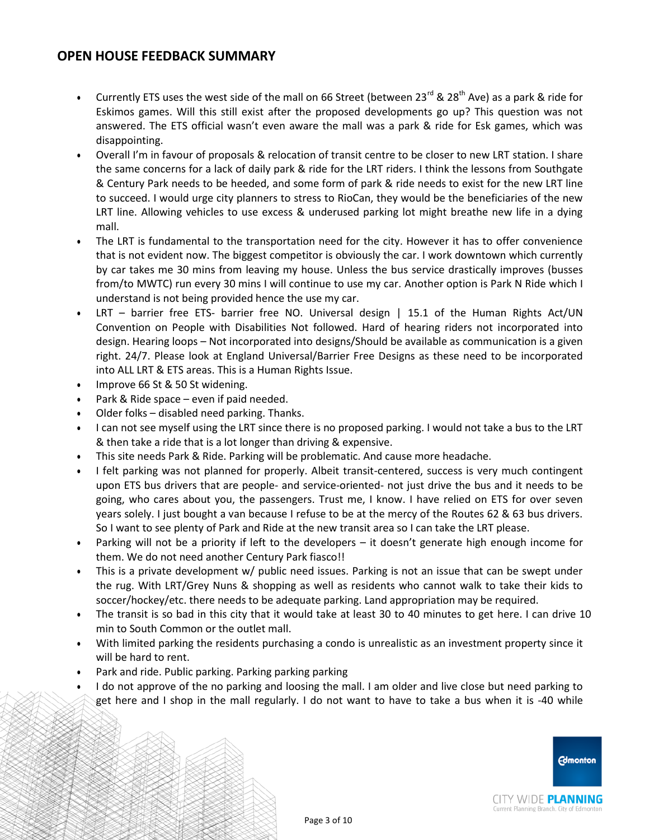- Currently ETS uses the west side of the mall on 66 Street (between 23<sup>rd</sup> & 28<sup>th</sup> Ave) as a park & ride for Eskimos games. Will this still exist after the proposed developments go up? This question was not answered. The ETS official wasn't even aware the mall was a park & ride for Esk games, which was disappointing.
- Overall I'm in favour of proposals & relocation of transit centre to be closer to new LRT station. I share the same concerns for a lack of daily park & ride for the LRT riders. I think the lessons from Southgate & Century Park needs to be heeded, and some form of park & ride needs to exist for the new LRT line to succeed. I would urge city planners to stress to RioCan, they would be the beneficiaries of the new LRT line. Allowing vehicles to use excess & underused parking lot might breathe new life in a dying mall.
- The LRT is fundamental to the transportation need for the city. However it has to offer convenience that is not evident now. The biggest competitor is obviously the car. I work downtown which currently by car takes me 30 mins from leaving my house. Unless the bus service drastically improves (busses from/to MWTC) run every 30 mins I will continue to use my car. Another option is Park N Ride which I understand is not being provided hence the use my car.
- LRT barrier free ETS- barrier free NO. Universal design | 15.1 of the Human Rights Act/UN Convention on People with Disabilities Not followed. Hard of hearing riders not incorporated into design. Hearing loops – Not incorporated into designs/Should be available as communication is a given right. 24/7. Please look at England Universal/Barrier Free Designs as these need to be incorporated into ALL LRT & ETS areas. This is a Human Rights Issue.
- Improve 66 St & 50 St widening.
- Park & Ride space even if paid needed.
- Older folks disabled need parking. Thanks.
- I can not see myself using the LRT since there is no proposed parking. I would not take a bus to the LRT & then take a ride that is a lot longer than driving & expensive.
- This site needs Park & Ride. Parking will be problematic. And cause more headache.
- I felt parking was not planned for properly. Albeit transit-centered, success is very much contingent upon ETS bus drivers that are people- and service-oriented- not just drive the bus and it needs to be going, who cares about you, the passengers. Trust me, I know. I have relied on ETS for over seven years solely. I just bought a van because I refuse to be at the mercy of the Routes 62 & 63 bus drivers. So I want to see plenty of Park and Ride at the new transit area so I can take the LRT please.
- Parking will not be a priority if left to the developers it doesn't generate high enough income for them. We do not need another Century Park fiasco!!
- This is a private development w/ public need issues. Parking is not an issue that can be swept under the rug. With LRT/Grey Nuns & shopping as well as residents who cannot walk to take their kids to soccer/hockey/etc. there needs to be adequate parking. Land appropriation may be required.
- The transit is so bad in this city that it would take at least 30 to 40 minutes to get here. I can drive 10 min to South Common or the outlet mall.
- With limited parking the residents purchasing a condo is unrealistic as an investment property since it will be hard to rent.
- Park and ride. Public parking. Parking parking parking
- I do not approve of the no parking and loosing the mall. I am older and live close but need parking to get here and I shop in the mall regularly. I do not want to have to take a bus when it is -40 while



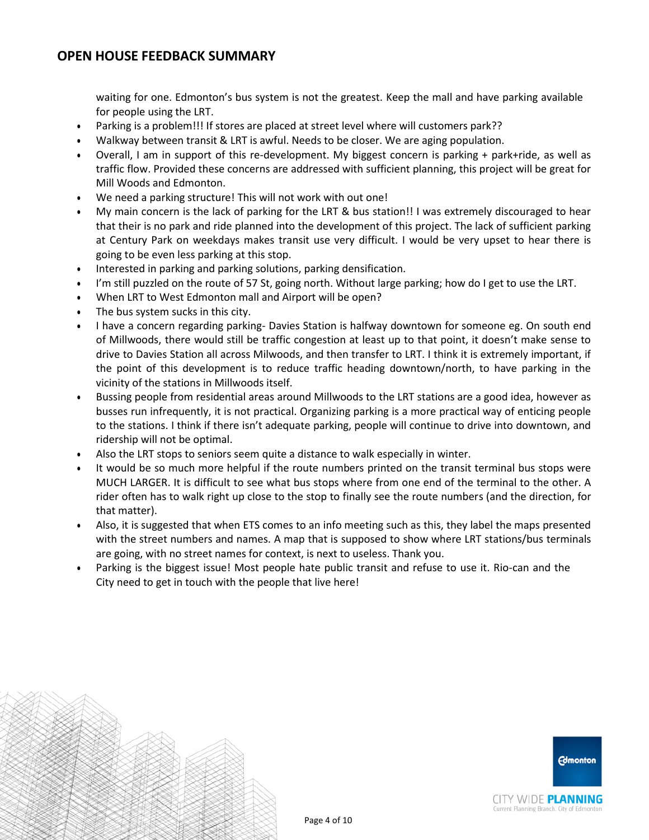waiting for one. Edmonton's bus system is not the greatest. Keep the mall and have parking available for people using the LRT.

- Parking is a problem!!! If stores are placed at street level where will customers park??
- Walkway between transit & LRT is awful. Needs to be closer. We are aging population.
- Overall, I am in support of this re-development. My biggest concern is parking + park+ride, as well as traffic flow. Provided these concerns are addressed with sufficient planning, this project will be great for Mill Woods and Edmonton.
- We need a parking structure! This will not work with out one!
- My main concern is the lack of parking for the LRT & bus station!! I was extremely discouraged to hear that their is no park and ride planned into the development of this project. The lack of sufficient parking at Century Park on weekdays makes transit use very difficult. I would be very upset to hear there is going to be even less parking at this stop.
- Interested in parking and parking solutions, parking densification.
- I'm still puzzled on the route of 57 St, going north. Without large parking; how do I get to use the LRT.
- When LRT to West Edmonton mall and Airport will be open?
- The bus system sucks in this city.
- I have a concern regarding parking- Davies Station is halfway downtown for someone eg. On south end of Millwoods, there would still be traffic congestion at least up to that point, it doesn't make sense to drive to Davies Station all across Milwoods, and then transfer to LRT. I think it is extremely important, if the point of this development is to reduce traffic heading downtown/north, to have parking in the vicinity of the stations in Millwoods itself.
- Bussing people from residential areas around Millwoods to the LRT stations are a good idea, however as busses run infrequently, it is not practical. Organizing parking is a more practical way of enticing people to the stations. I think if there isn't adequate parking, people will continue to drive into downtown, and ridership will not be optimal.
- Also the LRT stops to seniors seem quite a distance to walk especially in winter.
- It would be so much more helpful if the route numbers printed on the transit terminal bus stops were MUCH LARGER. It is difficult to see what bus stops where from one end of the terminal to the other. A rider often has to walk right up close to the stop to finally see the route numbers (and the direction, for that matter).
- Also, it is suggested that when ETS comes to an info meeting such as this, they label the maps presented with the street numbers and names. A map that is supposed to show where LRT stations/bus terminals are going, with no street names for context, is next to useless. Thank you.
- Parking is the biggest issue! Most people hate public transit and refuse to use it. Rio-can and the City need to get in touch with the people that live here!

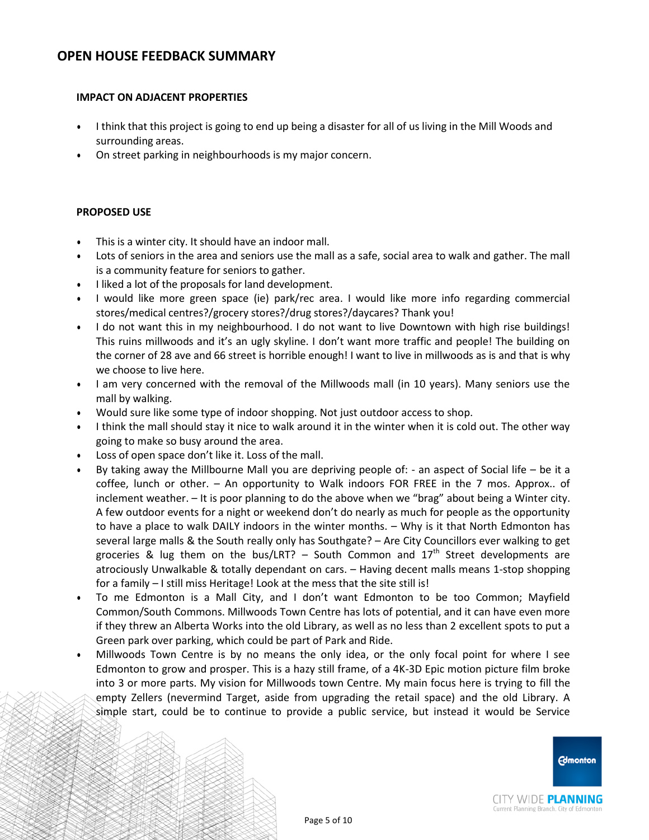#### **IMPACT ON ADJACENT PROPERTIES**

- I think that this project is going to end up being a disaster for all of us living in the Mill Woods and surrounding areas.
- On street parking in neighbourhoods is my major concern.

### **PROPOSED USE**

- This is a winter city. It should have an indoor mall.
- Lots of seniors in the area and seniors use the mall as a safe, social area to walk and gather. The mall is a community feature for seniors to gather.
- I liked a lot of the proposals for land development.
- I would like more green space (ie) park/rec area. I would like more info regarding commercial stores/medical centres?/grocery stores?/drug stores?/daycares? Thank you!
- I do not want this in my neighbourhood. I do not want to live Downtown with high rise buildings! This ruins millwoods and it's an ugly skyline. I don't want more traffic and people! The building on the corner of 28 ave and 66 street is horrible enough! I want to live in millwoods as is and that is why we choose to live here.
- I am very concerned with the removal of the Millwoods mall (in 10 years). Many seniors use the mall by walking.
- Would sure like some type of indoor shopping. Not just outdoor access to shop.
- I think the mall should stay it nice to walk around it in the winter when it is cold out. The other way going to make so busy around the area.
- Loss of open space don't like it. Loss of the mall.
- By taking away the Millbourne Mall you are depriving people of: an aspect of Social life be it a coffee, lunch or other. – An opportunity to Walk indoors FOR FREE in the 7 mos. Approx.. of inclement weather. – It is poor planning to do the above when we "brag" about being a Winter city. A few outdoor events for a night or weekend don't do nearly as much for people as the opportunity to have a place to walk DAILY indoors in the winter months. – Why is it that North Edmonton has several large malls & the South really only has Southgate? – Are City Councillors ever walking to get groceries & lug them on the bus/LRT? – South Common and  $17<sup>th</sup>$  Street developments are atrociously Unwalkable & totally dependant on cars. – Having decent malls means 1-stop shopping for a family – I still miss Heritage! Look at the mess that the site still is!
- To me Edmonton is a Mall City, and I don't want Edmonton to be too Common; Mayfield Common/South Commons. Millwoods Town Centre has lots of potential, and it can have even more if they threw an Alberta Works into the old Library, as well as no less than 2 excellent spots to put a Green park over parking, which could be part of Park and Ride.
- Millwoods Town Centre is by no means the only idea, or the only focal point for where I see Edmonton to grow and prosper. This is a hazy still frame, of a 4K-3D Epic motion picture film broke into 3 or more parts. My vision for Millwoods town Centre. My main focus here is trying to fill the empty Zellers (nevermind Target, aside from upgrading the retail space) and the old Library. A simple start, could be to continue to provide a public service, but instead it would be Service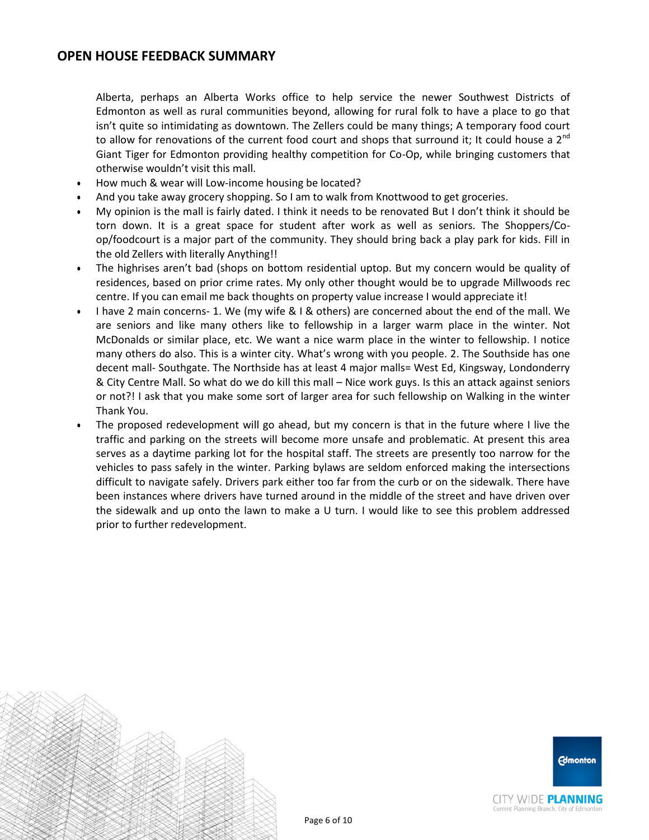Alberta, perhaps an Alberta Works office to help service the newer Southwest Districts of Edmonton as well as rural communities beyond, allowing for rural folk to have a place to go that isn't quite so intimidating as downtown. The Zellers could be many things; A temporary food court to allow for renovations of the current food court and shops that surround it; It could house a  $2^{nd}$ Giant Tiger for Edmonton providing healthy competition for Co-Op, while bringing customers that otherwise wouldn't visit this mall.

- How much & wear will Low-income housing be located?
- And you take away grocery shopping. So I am to walk from Knottwood to get groceries.
- My opinion is the mall is fairly dated. I think it needs to be renovated But I don't think it should be torn down. It is a great space for student after work as well as seniors. The Shoppers/Coop/foodcourt is a major part of the community. They should bring back a play park for kids. Fill in the old Zellers with literally Anything!!
- The highrises aren't bad (shops on bottom residential uptop. But my concern would be quality of residences, based on prior crime rates. My only other thought would be to upgrade Millwoods rec centre. If you can email me back thoughts on property value increase I would appreciate it!
- I have 2 main concerns- 1. We (my wife & I & others) are concerned about the end of the mall. We are seniors and like many others like to fellowship in a larger warm place in the winter. Not McDonalds or similar place, etc. We want a nice warm place in the winter to fellowship. I notice many others do also. This is a winter city. What's wrong with you people. 2. The Southside has one decent mall- Southgate. The Northside has at least 4 major malls= West Ed, Kingsway, Londonderry & City Centre Mall. So what do we do kill this mall – Nice work guys. Is this an attack against seniors or not?! I ask that you make some sort of larger area for such fellowship on Walking in the winter Thank You.
- The proposed redevelopment will go ahead, but my concern is that in the future where I live the traffic and parking on the streets will become more unsafe and problematic. At present this area serves as a daytime parking lot for the hospital staff. The streets are presently too narrow for the vehicles to pass safely in the winter. Parking bylaws are seldom enforced making the intersections difficult to navigate safely. Drivers park either too far from the curb or on the sidewalk. There have been instances where drivers have turned around in the middle of the street and have driven over the sidewalk and up onto the lawn to make a U turn. I would like to see this problem addressed prior to further redevelopment.



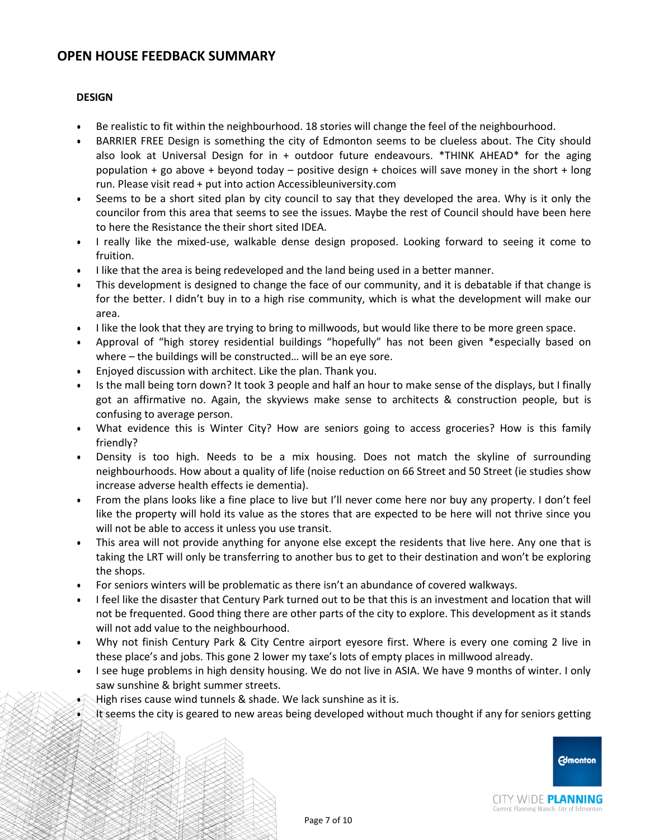### **DESIGN**

- Be realistic to fit within the neighbourhood. 18 stories will change the feel of the neighbourhood.
- BARRIER FREE Design is something the city of Edmonton seems to be clueless about. The City should also look at Universal Design for in + outdoor future endeavours. \*THINK AHEAD\* for the aging population + go above + beyond today – positive design + choices will save money in the short + long run. Please visit read + put into action Accessibleuniversity.com
- Seems to be a short sited plan by city council to say that they developed the area. Why is it only the councilor from this area that seems to see the issues. Maybe the rest of Council should have been here to here the Resistance the their short sited IDEA.
- I really like the mixed-use, walkable dense design proposed. Looking forward to seeing it come to fruition.
- I like that the area is being redeveloped and the land being used in a better manner.
- This development is designed to change the face of our community, and it is debatable if that change is for the better. I didn't buy in to a high rise community, which is what the development will make our area.
- I like the look that they are trying to bring to millwoods, but would like there to be more green space.
- Approval of "high storey residential buildings "hopefully" has not been given \*especially based on where – the buildings will be constructed… will be an eye sore.
- Enjoyed discussion with architect. Like the plan. Thank you.
- Is the mall being torn down? It took 3 people and half an hour to make sense of the displays, but I finally got an affirmative no. Again, the skyviews make sense to architects & construction people, but is confusing to average person.
- What evidence this is Winter City? How are seniors going to access groceries? How is this family friendly?
- Density is too high. Needs to be a mix housing. Does not match the skyline of surrounding neighbourhoods. How about a quality of life (noise reduction on 66 Street and 50 Street (ie studies show increase adverse health effects ie dementia).
- From the plans looks like a fine place to live but I'll never come here nor buy any property. I don't feel like the property will hold its value as the stores that are expected to be here will not thrive since you will not be able to access it unless you use transit.
- This area will not provide anything for anyone else except the residents that live here. Any one that is taking the LRT will only be transferring to another bus to get to their destination and won't be exploring the shops.
- For seniors winters will be problematic as there isn't an abundance of covered walkways.
- I feel like the disaster that Century Park turned out to be that this is an investment and location that will not be frequented. Good thing there are other parts of the city to explore. This development as it stands will not add value to the neighbourhood.
- Why not finish Century Park & City Centre airport eyesore first. Where is every one coming 2 live in these place's and jobs. This gone 2 lower my taxe's lots of empty places in millwood already.
- I see huge problems in high density housing. We do not live in ASIA. We have 9 months of winter. I only saw sunshine & bright summer streets.
- High rises cause wind tunnels & shade. We lack sunshine as it is.
- It seems the city is geared to new areas being developed without much thought if any for seniors getting



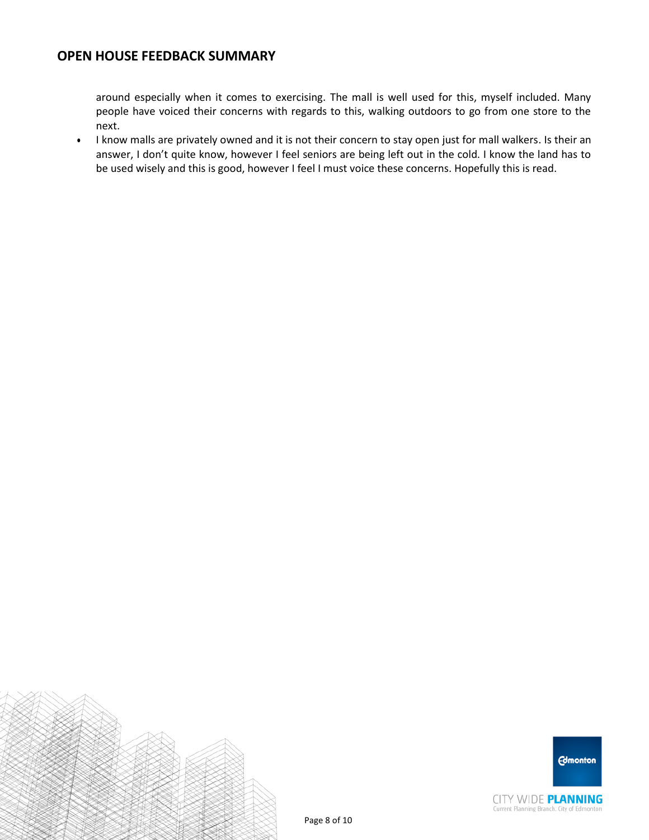around especially when it comes to exercising. The mall is well used for this, myself included. Many people have voiced their concerns with regards to this, walking outdoors to go from one store to the next.

 I know malls are privately owned and it is not their concern to stay open just for mall walkers. Is their an answer, I don't quite know, however I feel seniors are being left out in the cold. I know the land has to be used wisely and this is good, however I feel I must voice these concerns. Hopefully this is read.





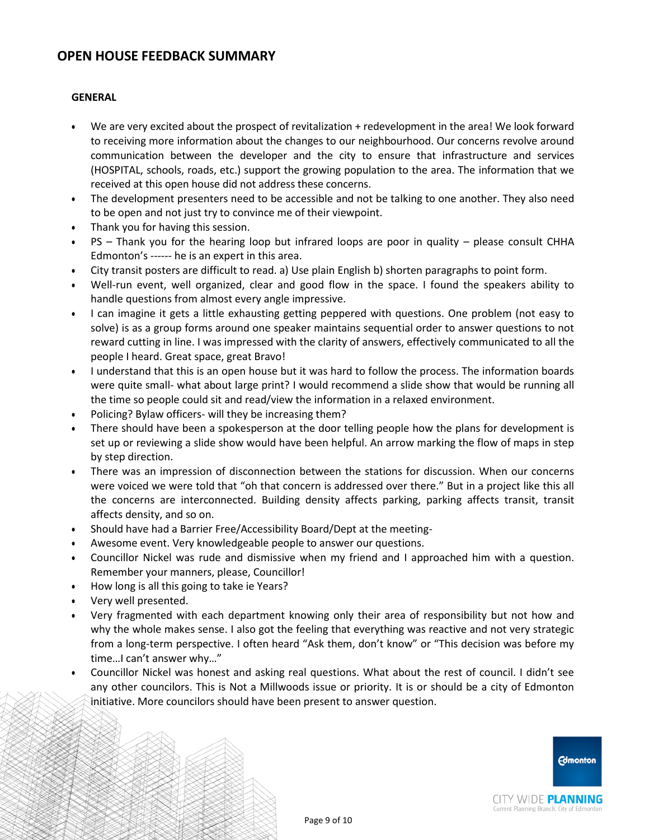### **GENERAL**

- We are very excited about the prospect of revitalization + redevelopment in the area! We look forward to receiving more information about the changes to our neighbourhood. Our concerns revolve around communication between the developer and the city to ensure that infrastructure and services (HOSPITAL, schools, roads, etc.) support the growing population to the area. The information that we received at this open house did not address these concerns.
- The development presenters need to be accessible and not be talking to one another. They also need to be open and not just try to convince me of their viewpoint.
- Thank you for having this session.
- PS Thank you for the hearing loop but infrared loops are poor in quality please consult CHHA Edmonton's ------ he is an expert in this area.
- City transit posters are difficult to read. a) Use plain English b) shorten paragraphs to point form.
- Well-run event, well organized, clear and good flow in the space. I found the speakers ability to handle questions from almost every angle impressive.
- I can imagine it gets a little exhausting getting peppered with questions. One problem (not easy to solve) is as a group forms around one speaker maintains sequential order to answer questions to not reward cutting in line. I was impressed with the clarity of answers, effectively communicated to all the people I heard. Great space, great Bravo!
- I understand that this is an open house but it was hard to follow the process. The information boards were quite small- what about large print? I would recommend a slide show that would be running all the time so people could sit and read/view the information in a relaxed environment.
- Policing? Bylaw officers- will they be increasing them?
- There should have been a spokesperson at the door telling people how the plans for development is set up or reviewing a slide show would have been helpful. An arrow marking the flow of maps in step by step direction.
- There was an impression of disconnection between the stations for discussion. When our concerns were voiced we were told that "oh that concern is addressed over there." But in a project like this all the concerns are interconnected. Building density affects parking, parking affects transit, transit affects density, and so on.
- Should have had a Barrier Free/Accessibility Board/Dept at the meeting-
- Awesome event. Very knowledgeable people to answer our questions.
- Councillor Nickel was rude and dismissive when my friend and I approached him with a question. Remember your manners, please, Councillor!
- How long is all this going to take ie Years?
- Very well presented.
- Very fragmented with each department knowing only their area of responsibility but not how and why the whole makes sense. I also got the feeling that everything was reactive and not very strategic from a long-term perspective. I often heard "Ask them, don't know" or "This decision was before my time…I can't answer why…"
- Councillor Nickel was honest and asking real questions. What about the rest of council. I didn't see any other councilors. This is Not a Millwoods issue or priority. It is or should be a city of Edmonton initiative. More councilors should have been present to answer question.